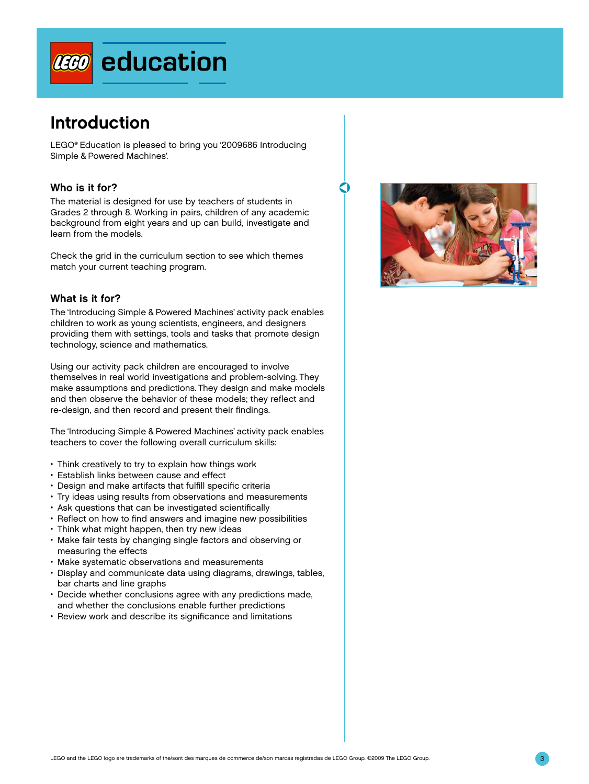

# Introduction

LEGO® Education is pleased to bring you '2009686 Introducing Simple & Powered Machines'.

# Who is it for?

The material is designed for use by teachers of students in Grades 2 through 8. Working in pairs, children of any academic background from eight years and up can build, investigate and learn from the models.

Check the grid in the curriculum section to see which themes match your current teaching program.

# What is it for?

The 'Introducing Simple & Powered Machines' activity pack enables children to work as young scientists, engineers, and designers providing them with settings, tools and tasks that promote design technology, science and mathematics.

Using our activity pack children are encouraged to involve themselves in real world investigations and problem-solving. They make assumptions and predictions. They design and make models and then observe the behavior of these models; they reflect and re-design, and then record and present their findings.

The 'Introducing Simple & Powered Machines' activity pack enables teachers to cover the following overall curriculum skills:

- Think creatively to try to explain how things work
- Establish links between cause and effect
- Design and make artifacts that fulfill specific criteria
- Try ideas using results from observations and measurements
- Ask questions that can be investigated scientifically
- Reflect on how to find answers and imagine new possibilities
- Think what might happen, then try new ideas
- Make fair tests by changing single factors and observing or measuring the effects
- Make systematic observations and measurements
- Display and communicate data using diagrams, drawings, tables, bar charts and line graphs
- Decide whether conclusions agree with any predictions made, and whether the conclusions enable further predictions
- Review work and describe its significance and limitations



O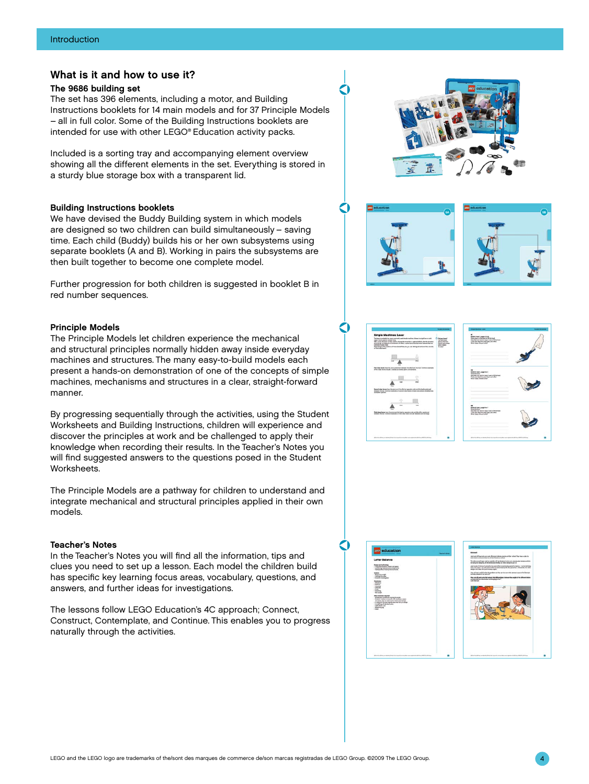# What is it and how to use it?

# The 9686 building set

The set has 396 elements, including a motor, and Building Instructions booklets for 14 main models and for 37 Principle Models – all in full color. Some of the Building Instructions booklets are intended for use with other LEGO® Education activity packs.

Included is a sorting tray and accompanying element overview showing all the different elements in the set. Everything is stored in a sturdy blue storage box with a transparent lid.

#### Building Instructions booklets

We have devised the Buddy Building system in which models are designed so two children can build simultaneously – saving time. Each child (Buddy) builds his or her own subsystems using separate booklets (A and B). Working in pairs the subsystems are then built together to become one complete model.

Further progression for both children is suggested in booklet B in red number sequences.

# Principle Models

The Principle Models let children experience the mechanical and structural principles normally hidden away inside everyday machines and structures. The many easy-to-build models each present a hands-on demonstration of one of the concepts of simple machines, mechanisms and structures in a clear, straight-forward manner.

By progressing sequentially through the activities, using the Student Worksheets and Building Instructions, children will experience and discover the principles at work and be challenged to apply their knowledge when recording their results. In the Teacher's Notes you will find suggested answers to the questions posed in the Student Worksheets.

The Principle Models are a pathway for children to understand and integrate mechanical and structural principles applied in their own models.

# Teacher's Notes

In the Teacher's Notes you will find all the information, tips and clues you need to set up a lesson. Each model the children build has specific key learning focus areas, vocabulary, questions, and answers, and further ideas for investigations.

The lessons follow LEGO Education's 4C approach; Connect, Construct, Contemplate, and Continue. This enables you to progress naturally through the activities.





O

O

O

Q









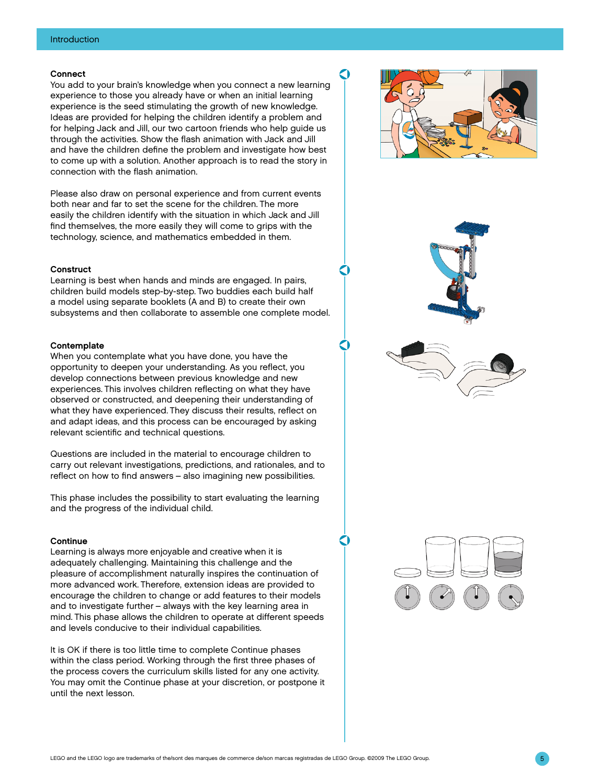### Connect

You add to your brain's knowledge when you connect a new learning experience to those you already have or when an initial learning experience is the seed stimulating the growth of new knowledge. Ideas are provided for helping the children identify a problem and for helping Jack and Jill, our two cartoon friends who help guide us through the activities. Show the flash animation with Jack and Jill and have the children define the problem and investigate how best to come up with a solution. Another approach is to read the story in connection with the flash animation.

Please also draw on personal experience and from current events both near and far to set the scene for the children. The more easily the children identify with the situation in which Jack and Jill find themselves, the more easily they will come to grips with the technology, science, and mathematics embedded in them.

#### **Construct**

Learning is best when hands and minds are engaged. In pairs, children build models step-by-step. Two buddies each build half a model using separate booklets (A and B) to create their own subsystems and then collaborate to assemble one complete model.

#### **Contemplate**

When you contemplate what you have done, you have the opportunity to deepen your understanding. As you reflect, you develop connections between previous knowledge and new experiences. This involves children reflecting on what they have observed or constructed, and deepening their understanding of what they have experienced. They discuss their results, reflect on and adapt ideas, and this process can be encouraged by asking relevant scientific and technical questions.

Questions are included in the material to encourage children to carry out relevant investigations, predictions, and rationales, and to reflect on how to find answers – also imagining new possibilities.

This phase includes the possibility to start evaluating the learning and the progress of the individual child.

#### **Continue**

Learning is always more enjoyable and creative when it is adequately challenging. Maintaining this challenge and the pleasure of accomplishment naturally inspires the continuation of more advanced work. Therefore, extension ideas are provided to encourage the children to change or add features to their models and to investigate further – always with the key learning area in mind. This phase allows the children to operate at different speeds and levels conducive to their individual capabilities.

It is OK if there is too little time to complete Continue phases within the class period. Working through the first three phases of the process covers the curriculum skills listed for any one activity. You may omit the Continue phase at your discretion, or postpone it until the next lesson.



C

O

C

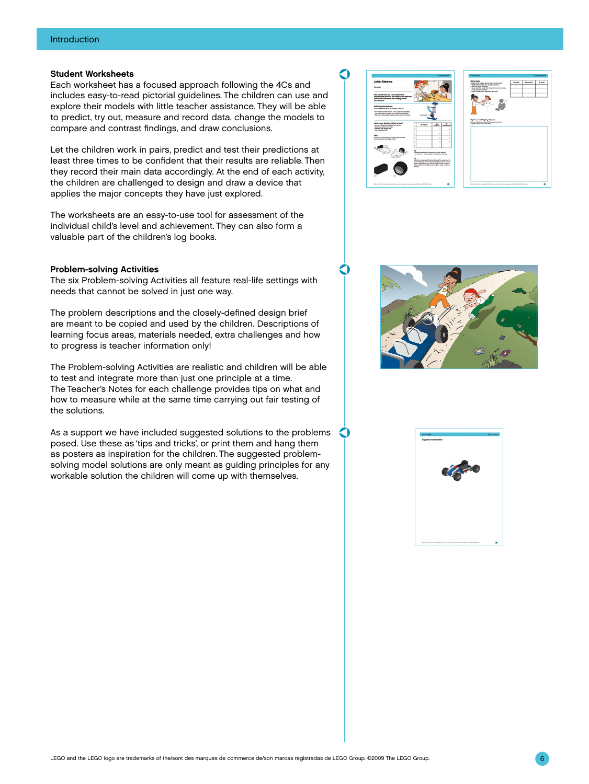# Student Worksheets

Each worksheet has a focused approach following the 4Cs and includes easy-to-read pictorial guidelines. The children can use and explore their models with little teacher assistance. They will be able to predict, try out, measure and record data, change the models to compare and contrast findings, and draw conclusions.

Let the children work in pairs, predict and test their predictions at least three times to be confident that their results are reliable. Then they record their main data accordingly. At the end of each activity, the children are challenged to design and draw a device that applies the major concepts they have just explored.

The worksheets are an easy-to-use tool for assessment of the individual child's level and achievement. They can also form a valuable part of the children's log books.

#### Problem-solving Activities

The six Problem-solving Activities all feature real-life settings with needs that cannot be solved in just one way.

The problem descriptions and the closely-defined design brief are meant to be copied and used by the children. Descriptions of learning focus areas, materials needed, extra challenges and how to progress is teacher information only!

The Problem-solving Activities are realistic and children will be able to test and integrate more than just one principle at a time. The Teacher's Notes for each challenge provides tips on what and how to measure while at the same time carrying out fair testing of the solutions.

As a support we have included suggested solutions to the problems posed. Use these as 'tips and tricks', or print them and hang them as posters as inspiration for the children. The suggested problemsolving model solutions are only meant as guiding principles for any workable solution the children will come up with themselves.



 $\Omega$ 

O